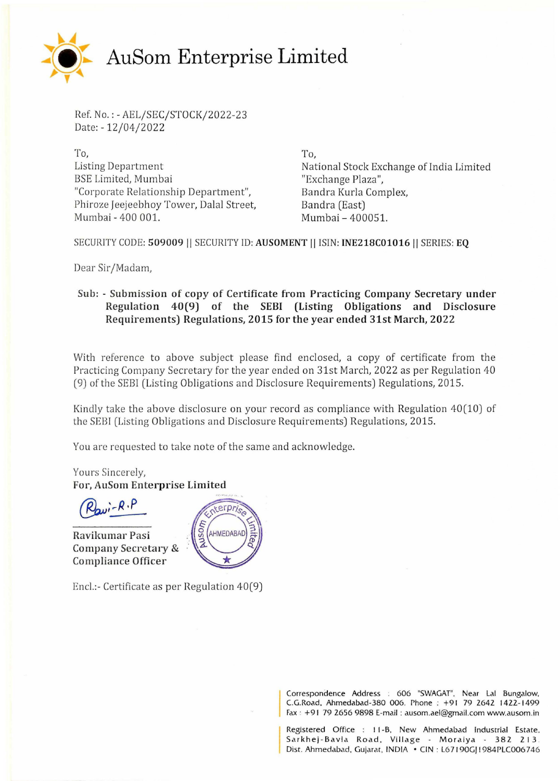

Ref. No.:- AEL/SEC/STOCK/2022-23 Date:- 12/04/2022

To, Listing Department BSE Limited, Mumbai "Corporate Relationship Department", Phiroze Jeejeebhoy Tower, Dalal Street, Mumbai- 400 001.

To, National Stock Exchange of India Limited "Exchange Plaza", Bandra Kurla Complex, Bandra (East) Mumbai- 400051.

SECURITY CODE: **509009** II SECURITY ID: **AUSOMENT** II !SIN: **INE218C01016II** SERIES: **EQ** 

Dear Sir/Madam,

## **Sub: - Submission of copy of Certificate from Practicing Company Secretary under Regulation 40(9) of the SEBI (Listing Obligations and Disclosure Requirements) Regulations, 2015 for the year ended 31st March, 2022**

With reference to above subject please find enclosed, a copy of certificate from the Practicing Company Secretary for the year ended on 31st March, 2022 as per Regulation 40 (9) of the SEBl (Listing Obligations and Disclosure Requirements) Regulations, 2015.

Kindly take the above disclosure on your record as compliance with Regulation 40(10) of the SEBI (Listing Obligations and Disclosure Requirements) Regulations, 2015.

You are requested to take note of the same and acknowledge.

Yours Sincerely, **For, AuSom Enterprise Limited** 

 $\vec{u}$ - $\vec{R} \cdot \vec{P}$ 

**Ravilmmar Pasi Company Secretary** & **Compliance Officer** 



Encl.:- Certificate as per Regulation 40(9)

Correspondence Address : 606 "SWAGAT", Near Lal Bungalow, C.G.Road, Ahmedabad-380 006. Phone : +91 79 2642 1422-1499 Fax · +91 79 2656 9898 E-mail : ausom.ael@gmail.com www.ausom.in

Registered Office : I 1-B. New Ahmedabad Industrial Estate. Sarkhej-Bavla Road, Village - Moraiya - 382 213. Dist. Ahmedabad, Gujarat, INDIA • CIN: L67190GJ1984PLC006746